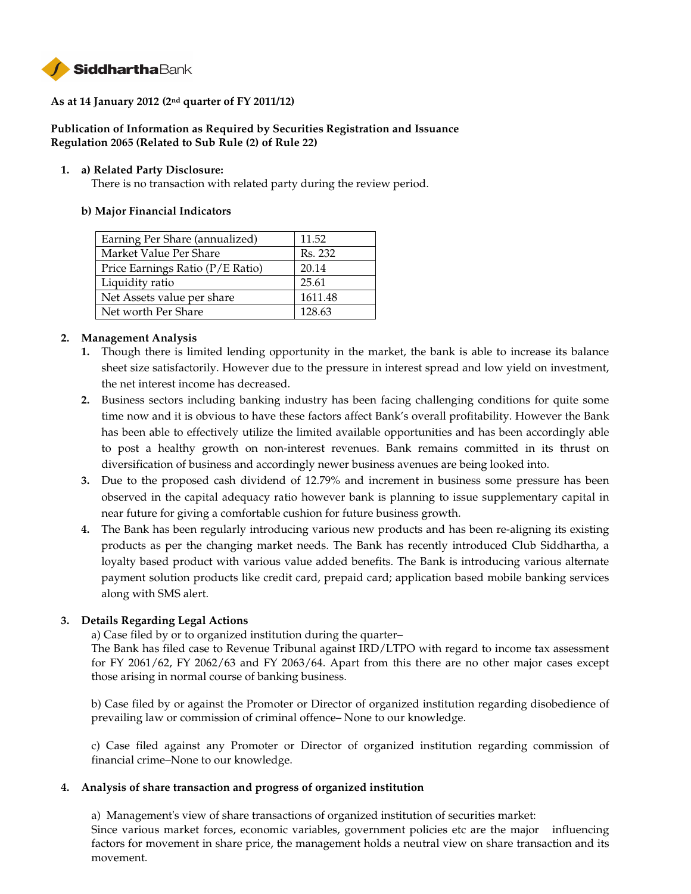

# **As at 14 January 2012 (2nd quarter of FY 2011/12)**

# **Publication of Information as Required by Securities Registration and Issuance Regulation 2065 (Related to Sub Rule (2) of Rule 22)**

### **1. a) Related Party Disclosure:**

There is no transaction with related party during the review period.

### **b) Major Financial Indicators**

| Earning Per Share (annualized)   | 11.52   |
|----------------------------------|---------|
| Market Value Per Share           | Rs. 232 |
| Price Earnings Ratio (P/E Ratio) | 20.14   |
| Liquidity ratio                  | 25.61   |
| Net Assets value per share       | 1611.48 |
| Net worth Per Share              | 128.63  |

### **2. Management Analysis**

- **1.** Though there is limited lending opportunity in the market, the bank is able to increase its balance sheet size satisfactorily. However due to the pressure in interest spread and low yield on investment, the net interest income has decreased.
- **2.** Business sectors including banking industry has been facing challenging conditions for quite some time now and it is obvious to have these factors affect Bank's overall profitability. However the Bank has been able to effectively utilize the limited available opportunities and has been accordingly able to post a healthy growth on non-interest revenues. Bank remains committed in its thrust on diversification of business and accordingly newer business avenues are being looked into.
- **3.** Due to the proposed cash dividend of 12.79% and increment in business some pressure has been observed in the capital adequacy ratio however bank is planning to issue supplementary capital in near future for giving a comfortable cushion for future business growth.
- **4.** The Bank has been regularly introducing various new products and has been re-aligning its existing products as per the changing market needs. The Bank has recently introduced Club Siddhartha, a loyalty based product with various value added benefits. The Bank is introducing various alternate payment solution products like credit card, prepaid card; application based mobile banking services along with SMS alert.

### **3. Details Regarding Legal Actions**

a) Case filed by or to organized institution during the quarter–

The Bank has filed case to Revenue Tribunal against IRD/LTPO with regard to income tax assessment for FY 2061/62, FY 2062/63 and FY 2063/64. Apart from this there are no other major cases except those arising in normal course of banking business.

b) Case filed by or against the Promoter or Director of organized institution regarding disobedience of prevailing law or commission of criminal offence– None to our knowledge.

c) Case filed against any Promoter or Director of organized institution regarding commission of financial crime–None to our knowledge.

### **4. Analysis of share transaction and progress of organized institution**

a)Management's view of share transactions of organized institution of securities market: Since various market forces, economic variables, government policies etc are the major influencing factors for movement in share price, the management holds a neutral view on share transaction and its movement.